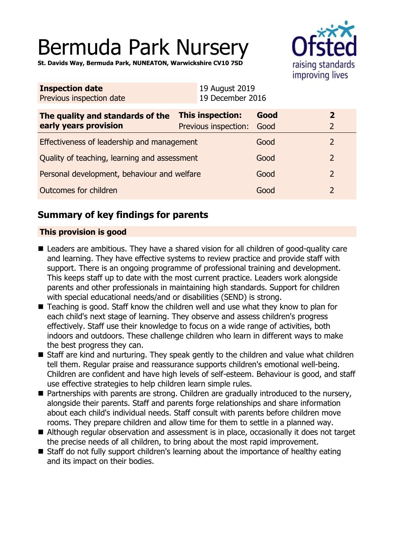# Bermuda Park Nursery

raising standards improving lives

**St. Davids Way, Bermuda Park, NUNEATON, Warwickshire CV10 7SD**

| <b>Inspection date</b><br>Previous inspection date        | 19 August 2019<br>19 December 2016              |              |                                  |
|-----------------------------------------------------------|-------------------------------------------------|--------------|----------------------------------|
| The quality and standards of the<br>early years provision | <b>This inspection:</b><br>Previous inspection: | Good<br>Good | $\overline{2}$<br>$\overline{2}$ |
| Effectiveness of leadership and management                |                                                 | Good         | $\overline{2}$                   |
| Quality of teaching, learning and assessment              |                                                 | Good         | $\overline{2}$                   |
| Personal development, behaviour and welfare               |                                                 | Good         | $\overline{2}$                   |
| Outcomes for children                                     |                                                 | Good         | $\overline{2}$                   |
|                                                           |                                                 |              |                                  |

## **Summary of key findings for parents**

## **This provision is good**

- Leaders are ambitious. They have a shared vision for all children of good-quality care and learning. They have effective systems to review practice and provide staff with support. There is an ongoing programme of professional training and development. This keeps staff up to date with the most current practice. Leaders work alongside parents and other professionals in maintaining high standards. Support for children with special educational needs/and or disabilities (SEND) is strong.
- $\blacksquare$  Teaching is good. Staff know the children well and use what they know to plan for each child's next stage of learning. They observe and assess children's progress effectively. Staff use their knowledge to focus on a wide range of activities, both indoors and outdoors. These challenge children who learn in different ways to make the best progress they can.
- Staff are kind and nurturing. They speak gently to the children and value what children tell them. Regular praise and reassurance supports children's emotional well-being. Children are confident and have high levels of self-esteem. Behaviour is good, and staff use effective strategies to help children learn simple rules.
- $\blacksquare$  Partnerships with parents are strong. Children are gradually introduced to the nursery, alongside their parents. Staff and parents forge relationships and share information about each child's individual needs. Staff consult with parents before children move rooms. They prepare children and allow time for them to settle in a planned way.
- Although regular observation and assessment is in place, occasionally it does not target the precise needs of all children, to bring about the most rapid improvement.
- Staff do not fully support children's learning about the importance of healthy eating and its impact on their bodies.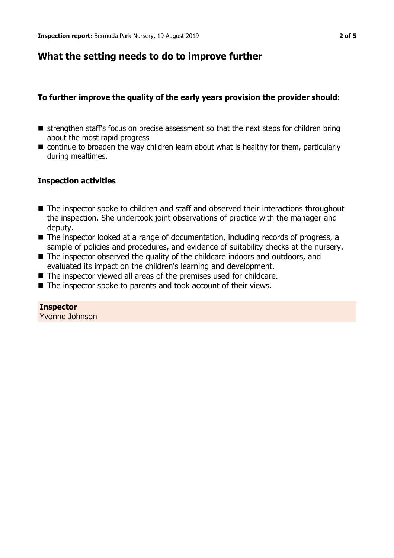## **What the setting needs to do to improve further**

## **To further improve the quality of the early years provision the provider should:**

- **n** strengthen staff's focus on precise assessment so that the next steps for children bring about the most rapid progress
- $\blacksquare$  continue to broaden the way children learn about what is healthy for them, particularly during mealtimes.

### **Inspection activities**

- $\blacksquare$  The inspector spoke to children and staff and observed their interactions throughout the inspection. She undertook joint observations of practice with the manager and deputy.
- $\blacksquare$  The inspector looked at a range of documentation, including records of progress, a sample of policies and procedures, and evidence of suitability checks at the nursery.
- $\blacksquare$  The inspector observed the quality of the childcare indoors and outdoors, and evaluated its impact on the children's learning and development.
- $\blacksquare$  The inspector viewed all areas of the premises used for childcare.
- $\blacksquare$  The inspector spoke to parents and took account of their views.

**Inspector** Yvonne Johnson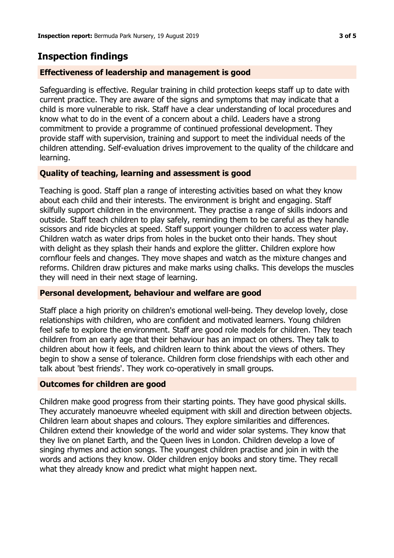## **Inspection findings**

## **Effectiveness of leadership and management is good**

Safeguarding is effective. Regular training in child protection keeps staff up to date with current practice. They are aware of the signs and symptoms that may indicate that a child is more vulnerable to risk. Staff have a clear understanding of local procedures and know what to do in the event of a concern about a child. Leaders have a strong commitment to provide a programme of continued professional development. They provide staff with supervision, training and support to meet the individual needs of the children attending. Self-evaluation drives improvement to the quality of the childcare and learning.

### **Quality of teaching, learning and assessment is good**

Teaching is good. Staff plan a range of interesting activities based on what they know about each child and their interests. The environment is bright and engaging. Staff skilfully support children in the environment. They practise a range of skills indoors and outside. Staff teach children to play safely, reminding them to be careful as they handle scissors and ride bicycles at speed. Staff support younger children to access water play. Children watch as water drips from holes in the bucket onto their hands. They shout with delight as they splash their hands and explore the glitter. Children explore how cornflour feels and changes. They move shapes and watch as the mixture changes and reforms. Children draw pictures and make marks using chalks. This develops the muscles they will need in their next stage of learning.

### **Personal development, behaviour and welfare are good**

Staff place a high priority on children's emotional well-being. They develop lovely, close relationships with children, who are confident and motivated learners. Young children feel safe to explore the environment. Staff are good role models for children. They teach children from an early age that their behaviour has an impact on others. They talk to children about how it feels, and children learn to think about the views of others. They begin to show a sense of tolerance. Children form close friendships with each other and talk about 'best friends'. They work co-operatively in small groups.

### **Outcomes for children are good**

Children make good progress from their starting points. They have good physical skills. They accurately manoeuvre wheeled equipment with skill and direction between objects. Children learn about shapes and colours. They explore similarities and differences. Children extend their knowledge of the world and wider solar systems. They know that they live on planet Earth, and the Queen lives in London. Children develop a love of singing rhymes and action songs. The youngest children practise and join in with the words and actions they know. Older children enjoy books and story time. They recall what they already know and predict what might happen next.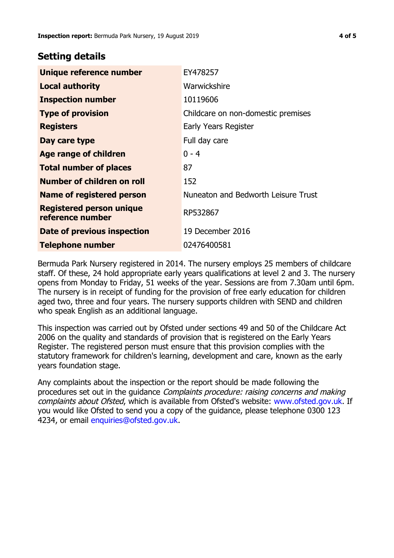## **Setting details**

| Unique reference number                             | EY478257                            |
|-----------------------------------------------------|-------------------------------------|
| <b>Local authority</b>                              | Warwickshire                        |
| <b>Inspection number</b>                            | 10119606                            |
| <b>Type of provision</b>                            | Childcare on non-domestic premises  |
| <b>Registers</b>                                    | Early Years Register                |
| Day care type                                       | Full day care                       |
| <b>Age range of children</b>                        | $0 - 4$                             |
| <b>Total number of places</b>                       | 87                                  |
| <b>Number of children on roll</b>                   | 152                                 |
| <b>Name of registered person</b>                    | Nuneaton and Bedworth Leisure Trust |
| <b>Registered person unique</b><br>reference number | RP532867                            |
| Date of previous inspection                         | 19 December 2016                    |
| Telephone number                                    | 02476400581                         |

Bermuda Park Nursery registered in 2014. The nursery employs 25 members of childcare staff. Of these, 24 hold appropriate early years qualifications at level 2 and 3. The nursery opens from Monday to Friday, 51 weeks of the year. Sessions are from 7.30am until 6pm. The nursery is in receipt of funding for the provision of free early education for children aged two, three and four years. The nursery supports children with SEND and children who speak English as an additional language.

This inspection was carried out by Ofsted under sections 49 and 50 of the Childcare Act 2006 on the quality and standards of provision that is registered on the Early Years Register. The registered person must ensure that this provision complies with the statutory framework for children's learning, development and care, known as the early years foundation stage.

Any complaints about the inspection or the report should be made following the procedures set out in the guidance Complaints procedure: raising concerns and making complaints about Ofsted, which is available from Ofsted's website: www.ofsted.gov.uk. If you would like Ofsted to send you a copy of the guidance, please telephone 0300 123 4234, or email [enquiries@ofsted.gov.uk.](mailto:enquiries@ofsted.gov.uk)